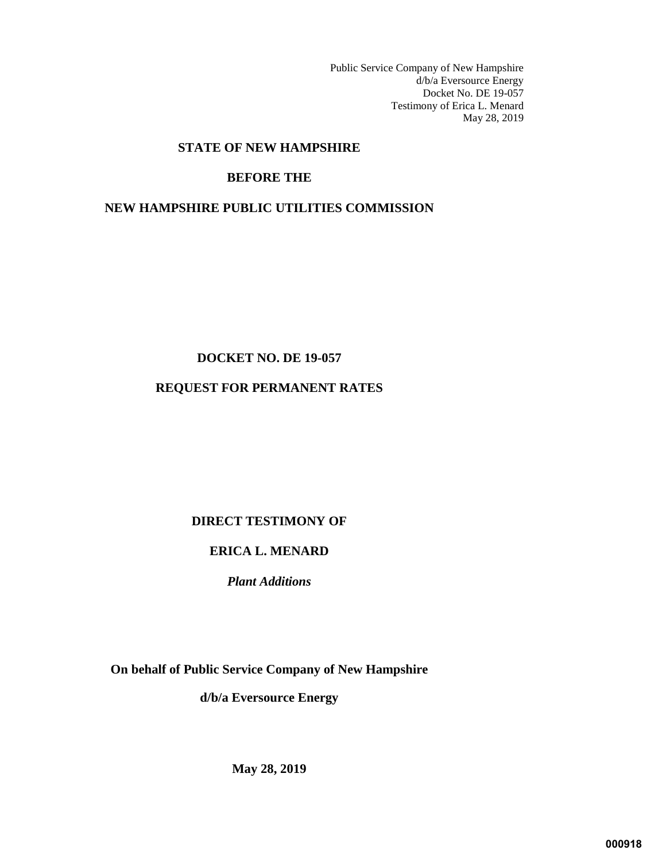Public Service Company of New Hampshire d/b/a Eversource Energy Docket No. DE 19-057 Testimony of Erica L. Menard May 28, 2019

## **STATE OF NEW HAMPSHIRE**

## **BEFORE THE**

## **NEW HAMPSHIRE PUBLIC UTILITIES COMMISSION**

## **DOCKET NO. DE 19-057**

## **REQUEST FOR PERMANENT RATES**

# **DIRECT TESTIMONY OF**

# **ERICA L. MENARD**

*Plant Additions* 

**On behalf of Public Service Company of New Hampshire** 

**d/b/a Eversource Energy**

**May 28, 2019**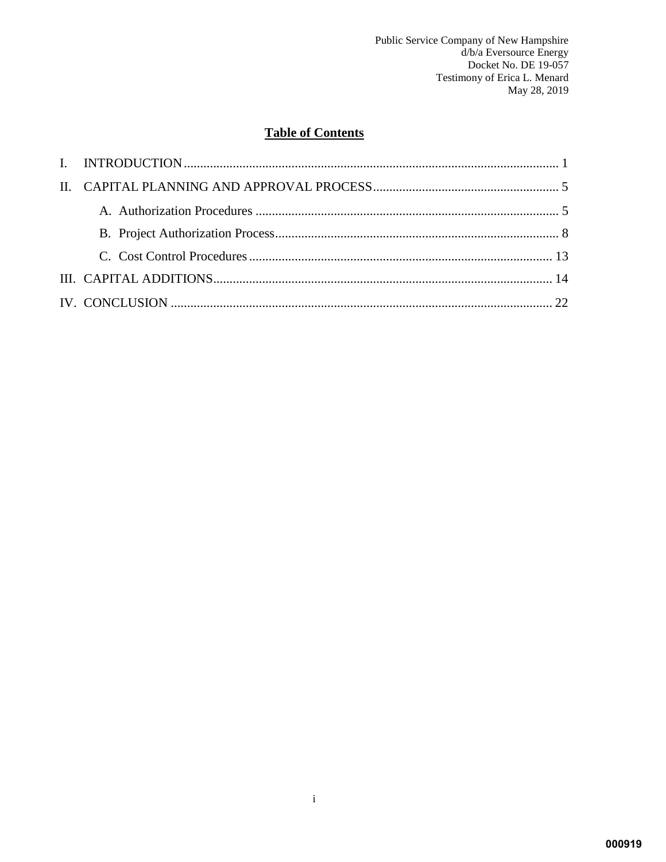# **Table of Contents**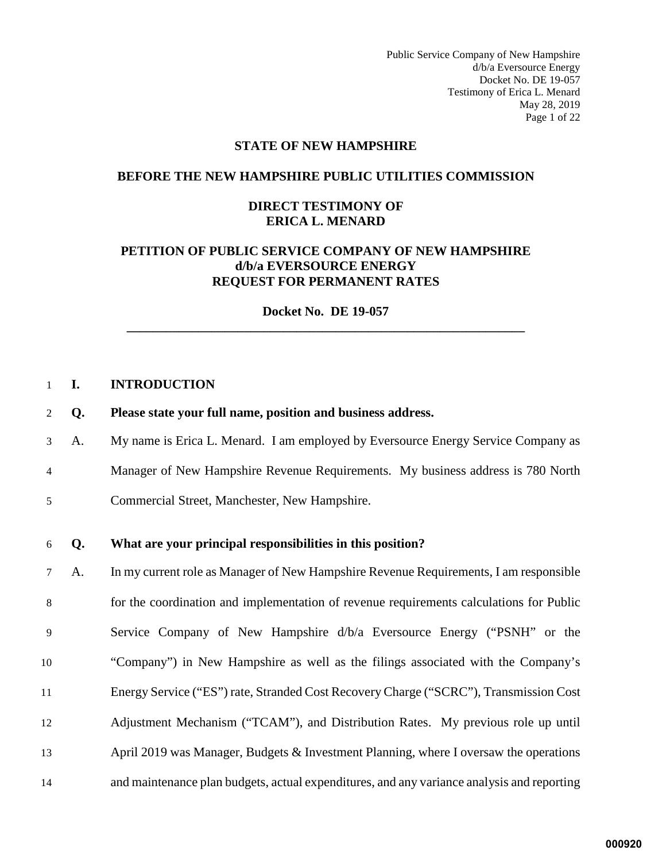Public Service Company of New Hampshire d/b/a Eversource Energy Docket No. DE 19-057 Testimony of Erica L. Menard May 28, 2019 Page 1 of 22

## **STATE OF NEW HAMPSHIRE**

#### **BEFORE THE NEW HAMPSHIRE PUBLIC UTILITIES COMMISSION**

#### **DIRECT TESTIMONY OF ERICA L. MENARD**

## **PETITION OF PUBLIC SERVICE COMPANY OF NEW HAMPSHIRE d/b/a EVERSOURCE ENERGY REQUEST FOR PERMANENT RATES**

**Docket No. DE 19-057 \_\_\_\_\_\_\_\_\_\_\_\_\_\_\_\_\_\_\_\_\_\_\_\_\_\_\_\_\_\_\_\_\_\_\_\_\_\_\_\_\_\_\_\_\_\_\_\_\_\_\_\_\_\_\_\_\_\_\_\_\_** 

#### <span id="page-2-0"></span>1 **I. INTRODUCTION**

- 2 **Q. Please state your full name, position and business address.**
- 3 A. My name is Erica L. Menard. I am employed by Eversource Energy Service Company as
- 4 Manager of New Hampshire Revenue Requirements. My business address is 780 North
- 5 Commercial Street, Manchester, New Hampshire.

## 6 **Q. What are your principal responsibilities in this position?**

7 A. In my current role as Manager of New Hampshire Revenue Requirements, I am responsible 8 for the coordination and implementation of revenue requirements calculations for Public 9 Service Company of New Hampshire d/b/a Eversource Energy ("PSNH" or the "Company") in New Hampshire as well as the filings associated with the Company's Energy Service ("ES") rate, Stranded Cost Recovery Charge ("SCRC"), Transmission Cost Adjustment Mechanism ("TCAM"), and Distribution Rates. My previous role up until April 2019 was Manager, Budgets & Investment Planning, where I oversaw the operations and maintenance plan budgets, actual expenditures, and any variance analysis and reporting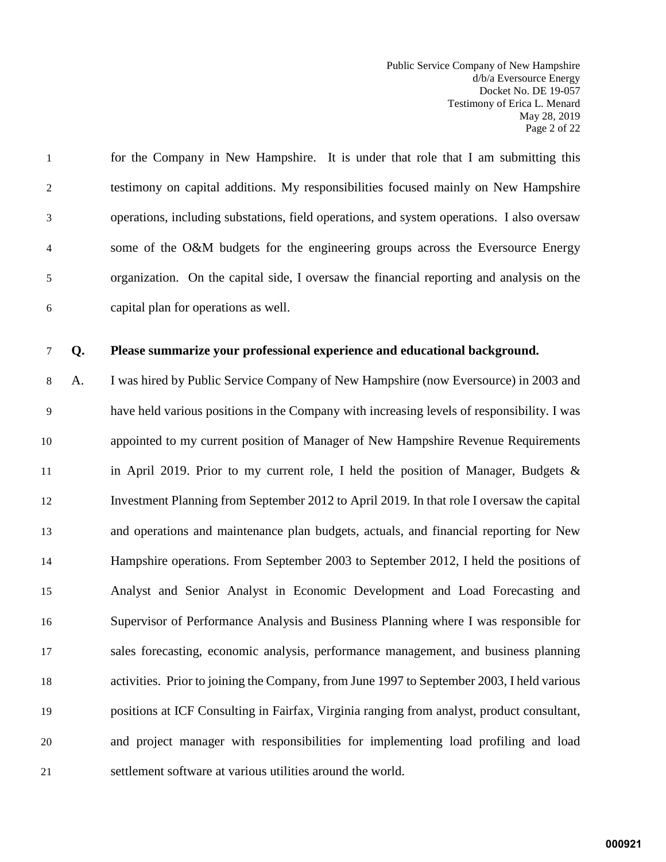Public Service Company of New Hampshire d/b/a Eversource Energy Docket No. DE 19-057 Testimony of Erica L. Menard May 28, 2019 Page 2 of 22

1 for the Company in New Hampshire. It is under that role that I am submitting this 2 testimony on capital additions. My responsibilities focused mainly on New Hampshire 3 operations, including substations, field operations, and system operations. I also oversaw 4 some of the O&M budgets for the engineering groups across the Eversource Energy 5 organization. On the capital side, I oversaw the financial reporting and analysis on the 6 capital plan for operations as well.

#### 7 **Q. Please summarize your professional experience and educational background.**

8 A. I was hired by Public Service Company of New Hampshire (now Eversource) in 2003 and 9 have held various positions in the Company with increasing levels of responsibility. I was appointed to my current position of Manager of New Hampshire Revenue Requirements 11 in April 2019. Prior to my current role, I held the position of Manager, Budgets & Investment Planning from September 2012 to April 2019. In that role I oversaw the capital and operations and maintenance plan budgets, actuals, and financial reporting for New Hampshire operations. From September 2003 to September 2012, I held the positions of Analyst and Senior Analyst in Economic Development and Load Forecasting and Supervisor of Performance Analysis and Business Planning where I was responsible for sales forecasting, economic analysis, performance management, and business planning activities. Prior to joining the Company, from June 1997 to September 2003, I held various positions at ICF Consulting in Fairfax, Virginia ranging from analyst, product consultant, and project manager with responsibilities for implementing load profiling and load settlement software at various utilities around the world.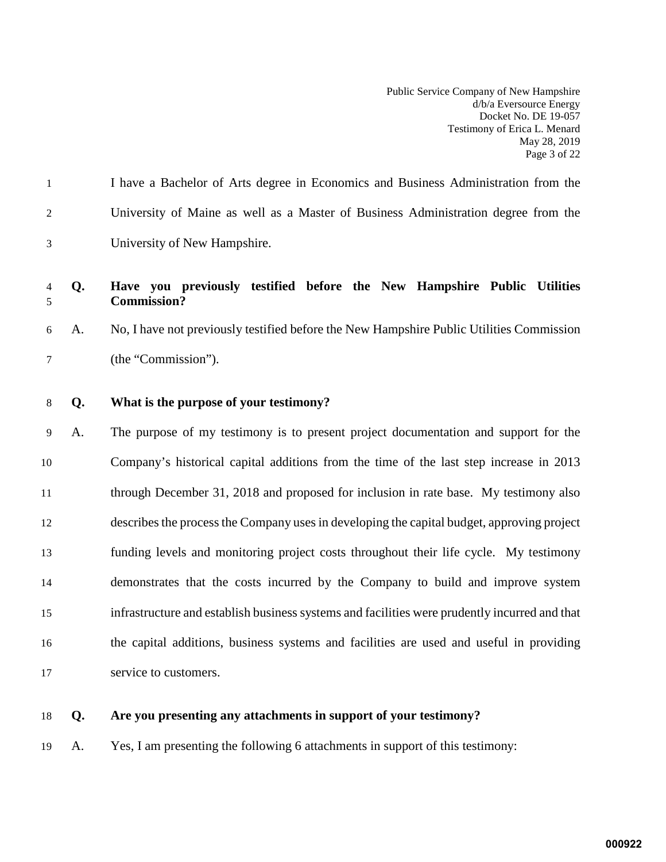Public Service Company of New Hampshire d/b/a Eversource Energy Docket No. DE 19-057 Testimony of Erica L. Menard May 28, 2019 Page 3 of 22

| I have a Bachelor of Arts degree in Economics and Business Administration from the |
|------------------------------------------------------------------------------------|
| University of Maine as well as a Master of Business Administration degree from the |
| University of New Hampshire.                                                       |

## 4 **Q. Have you previously testified before the New Hampshire Public Utilities**  5 **Commission?**

6 A. No, I have not previously testified before the New Hampshire Public Utilities Commission 7 (the "Commission").

#### 8 **Q. What is the purpose of your testimony?**

9 A. The purpose of my testimony is to present project documentation and support for the Company's historical capital additions from the time of the last step increase in 2013 11 through December 31, 2018 and proposed for inclusion in rate base. My testimony also describesthe process the Company uses in developing the capital budget, approving project funding levels and monitoring project costs throughout their life cycle. My testimony demonstrates that the costs incurred by the Company to build and improve system infrastructure and establish business systems and facilities were prudently incurred and that the capital additions, business systems and facilities are used and useful in providing service to customers.

### 18 **Q. Are you presenting any attachments in support of your testimony?**

19 A. Yes, I am presenting the following 6 attachments in support of this testimony: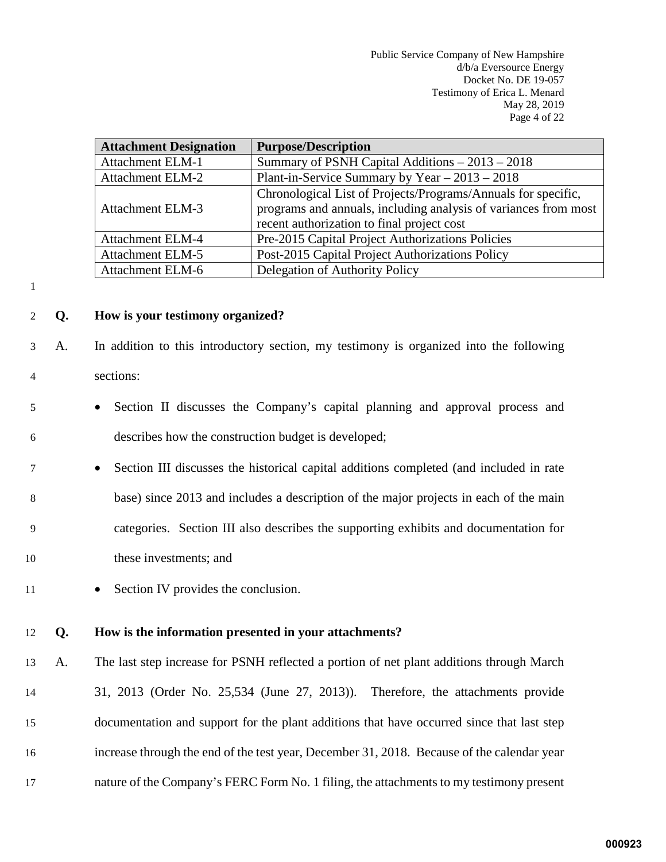| <b>Attachment Designation</b> | <b>Purpose/Description</b>                                      |
|-------------------------------|-----------------------------------------------------------------|
| <b>Attachment ELM-1</b>       | Summary of PSNH Capital Additions $-2013 - 2018$                |
| <b>Attachment ELM-2</b>       | Plant-in-Service Summary by Year $-2013 - 2018$                 |
|                               | Chronological List of Projects/Programs/Annuals for specific,   |
| <b>Attachment ELM-3</b>       | programs and annuals, including analysis of variances from most |
|                               | recent authorization to final project cost                      |
| <b>Attachment ELM-4</b>       | Pre-2015 Capital Project Authorizations Policies                |
| <b>Attachment ELM-5</b>       | Post-2015 Capital Project Authorizations Policy                 |
| <b>Attachment ELM-6</b>       | Delegation of Authority Policy                                  |

1

## 2 **Q. How is your testimony organized?**

- 3 A. In addition to this introductory section, my testimony is organized into the following 4 sections:
- 5 Section II discusses the Company's capital planning and approval process and 6 describes how the construction budget is developed;
- 7 Section III discusses the historical capital additions completed (and included in rate 8 base) since 2013 and includes a description of the major projects in each of the main 9 categories. Section III also describes the supporting exhibits and documentation for 10 these investments; and
- 11 Section IV provides the conclusion.

#### 12 **Q. How is the information presented in your attachments?**

 A. The last step increase for PSNH reflected a portion of net plant additions through March 31, 2013 (Order No. 25,534 (June 27, 2013)). Therefore, the attachments provide documentation and support for the plant additions that have occurred since that last step increase through the end of the test year, December 31, 2018. Because of the calendar year nature of the Company's FERC Form No. 1 filing, the attachments to my testimony present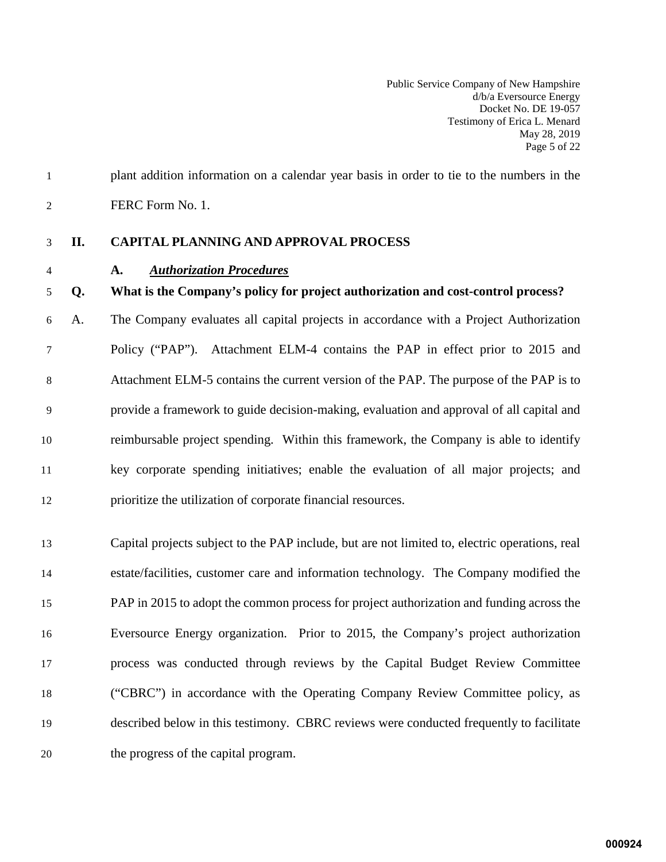Public Service Company of New Hampshire d/b/a Eversource Energy Docket No. DE 19-057 Testimony of Erica L. Menard May 28, 2019 Page 5 of 22

<span id="page-6-0"></span>1 plant addition information on a calendar year basis in order to tie to the numbers in the 2 FERC Form No. 1.

#### <span id="page-6-1"></span>3 **II. CAPITAL PLANNING AND APPROVAL PROCESS**

#### 4 **A.** *Authorization Procedures*

### 5 **Q. What is the Company's policy for project authorization and cost-control process?**

6 A. The Company evaluates all capital projects in accordance with a Project Authorization 7 Policy ("PAP"). Attachment ELM-4 contains the PAP in effect prior to 2015 and 8 Attachment ELM-5 contains the current version of the PAP. The purpose of the PAP is to 9 provide a framework to guide decision-making, evaluation and approval of all capital and 10 reimbursable project spending. Within this framework, the Company is able to identify 11 key corporate spending initiatives; enable the evaluation of all major projects; and 12 prioritize the utilization of corporate financial resources.

 Capital projects subject to the PAP include, but are not limited to, electric operations, real estate/facilities, customer care and information technology. The Company modified the PAP in 2015 to adopt the common process for project authorization and funding across the Eversource Energy organization. Prior to 2015, the Company's project authorization process was conducted through reviews by the Capital Budget Review Committee ("CBRC") in accordance with the Operating Company Review Committee policy, as described below in this testimony. CBRC reviews were conducted frequently to facilitate the progress of the capital program.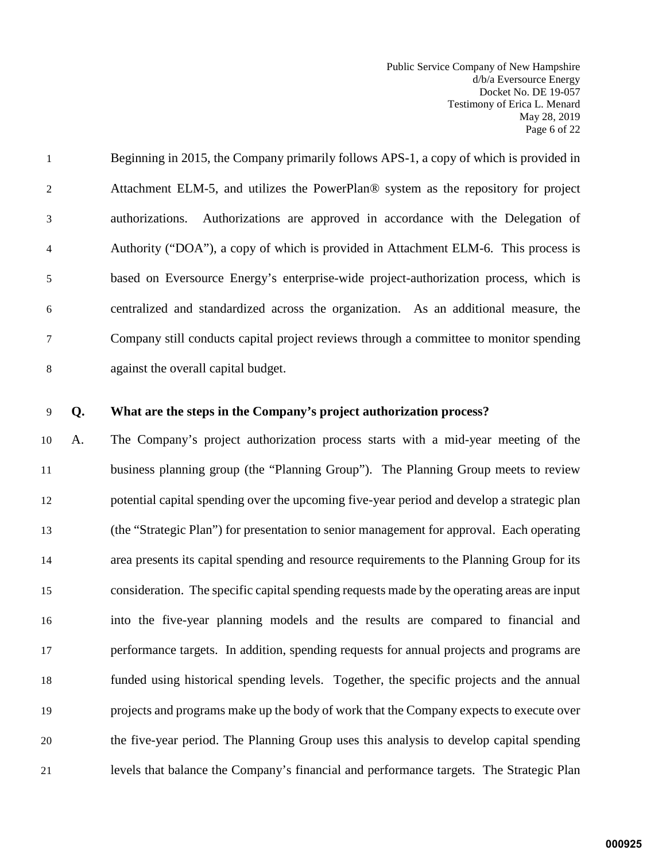Public Service Company of New Hampshire d/b/a Eversource Energy Docket No. DE 19-057 Testimony of Erica L. Menard May 28, 2019 Page 6 of 22

| $\mathbf{1}$   | Beginning in 2015, the Company primarily follows APS-1, a copy of which is provided in |
|----------------|----------------------------------------------------------------------------------------|
| 2              | Attachment ELM-5, and utilizes the PowerPlan® system as the repository for project     |
| 3              | Authorizations are approved in accordance with the Delegation of<br>authorizations.    |
| $\overline{4}$ | Authority ("DOA"), a copy of which is provided in Attachment ELM-6. This process is    |
| 5              | based on Eversource Energy's enterprise-wide project-authorization process, which is   |
| 6              | centralized and standardized across the organization. As an additional measure, the    |
| $\tau$         | Company still conducts capital project reviews through a committee to monitor spending |
| 8              | against the overall capital budget.                                                    |

## 9 **Q. What are the steps in the Company's project authorization process?**

 A. The Company's project authorization process starts with a mid-year meeting of the business planning group (the "Planning Group"). The Planning Group meets to review potential capital spending over the upcoming five-year period and develop a strategic plan (the "Strategic Plan") for presentation to senior management for approval. Each operating area presents its capital spending and resource requirements to the Planning Group for its consideration. The specific capital spending requests made by the operating areas are input into the five-year planning models and the results are compared to financial and performance targets. In addition, spending requests for annual projects and programs are funded using historical spending levels. Together, the specific projects and the annual projects and programs make up the body of work that the Company expects to execute over the five-year period. The Planning Group uses this analysis to develop capital spending levels that balance the Company's financial and performance targets. The Strategic Plan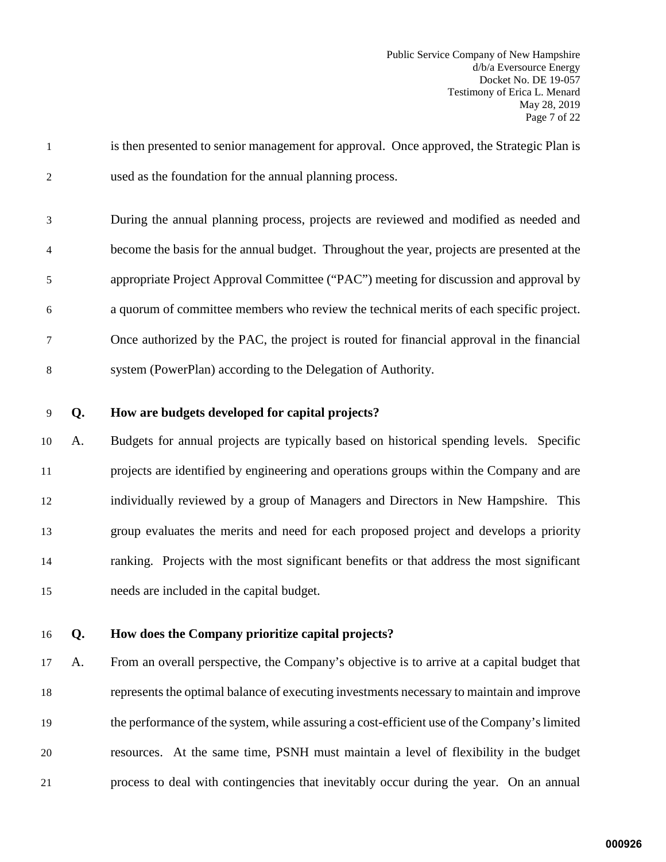- 1 is then presented to senior management for approval. Once approved, the Strategic Plan is 2 used as the foundation for the annual planning process.
- 3 During the annual planning process, projects are reviewed and modified as needed and 4 become the basis for the annual budget. Throughout the year, projects are presented at the 5 appropriate Project Approval Committee ("PAC") meeting for discussion and approval by 6 a quorum of committee members who review the technical merits of each specific project. 7 Once authorized by the PAC, the project is routed for financial approval in the financial 8 system (PowerPlan) according to the Delegation of Authority.
- 

## 9 **Q. How are budgets developed for capital projects?**

 A. Budgets for annual projects are typically based on historical spending levels. Specific projects are identified by engineering and operations groups within the Company and are individually reviewed by a group of Managers and Directors in New Hampshire. This group evaluates the merits and need for each proposed project and develops a priority ranking. Projects with the most significant benefits or that address the most significant needs are included in the capital budget.

16 **Q. How does the Company prioritize capital projects?**

 A. From an overall perspective, the Company's objective is to arrive at a capital budget that represents the optimal balance of executing investments necessary to maintain and improve the performance of the system, while assuring a cost-efficient use of the Company's limited resources. At the same time, PSNH must maintain a level of flexibility in the budget process to deal with contingencies that inevitably occur during the year. On an annual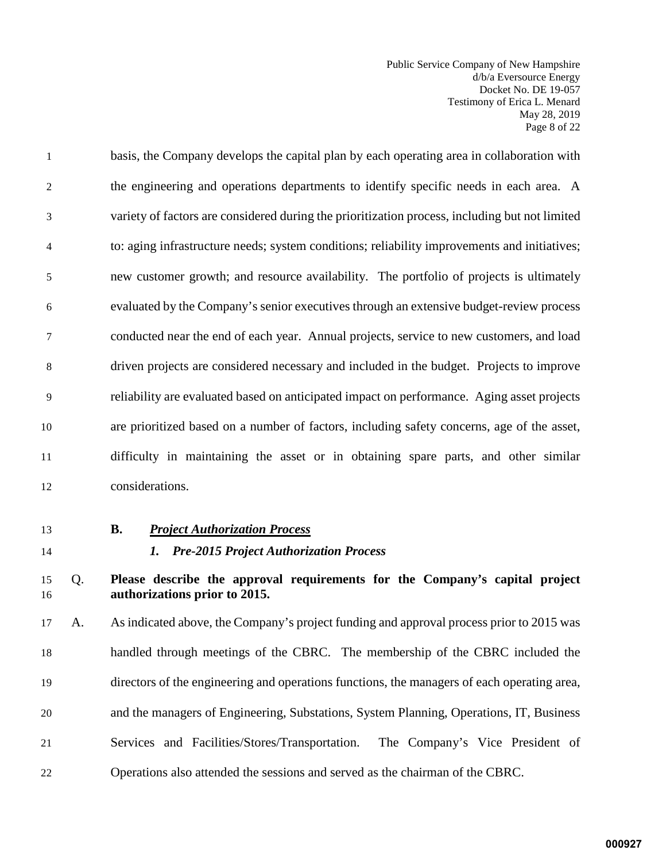Public Service Company of New Hampshire d/b/a Eversource Energy Docket No. DE 19-057 Testimony of Erica L. Menard May 28, 2019 Page 8 of 22

1 basis, the Company develops the capital plan by each operating area in collaboration with 2 the engineering and operations departments to identify specific needs in each area. A 3 variety of factors are considered during the prioritization process, including but not limited 4 to: aging infrastructure needs; system conditions; reliability improvements and initiatives; 5 new customer growth; and resource availability. The portfolio of projects is ultimately 6 evaluated by the Company's senior executives through an extensive budget-review process 7 conducted near the end of each year. Annual projects, service to new customers, and load 8 driven projects are considered necessary and included in the budget. Projects to improve 9 reliability are evaluated based on anticipated impact on performance. Aging asset projects 10 are prioritized based on a number of factors, including safety concerns, age of the asset, 11 difficulty in maintaining the asset or in obtaining spare parts, and other similar 12 considerations.

## <span id="page-9-0"></span>13 **B.** *Project Authorization Process*

14*1. Pre-2015 Project Authorization Process*

## 15 Q. **Please describe the approval requirements for the Company's capital project**  16 **authorizations prior to 2015.**

 A. As indicated above, the Company's project funding and approval process prior to 2015 was handled through meetings of the CBRC. The membership of the CBRC included the directors of the engineering and operations functions, the managers of each operating area, and the managers of Engineering, Substations, System Planning, Operations, IT, Business Services and Facilities/Stores/Transportation. The Company's Vice President of Operations also attended the sessions and served as the chairman of the CBRC.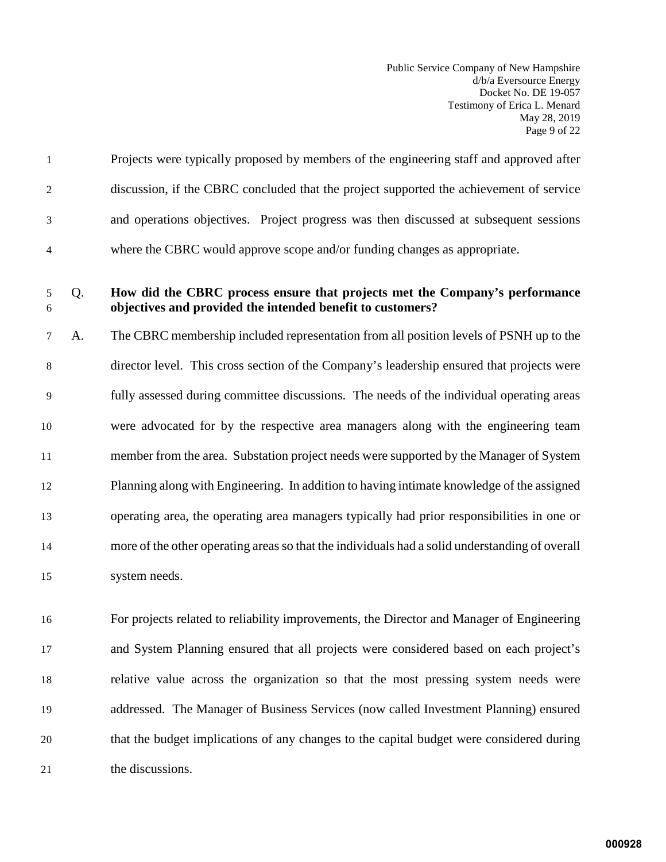Public Service Company of New Hampshire d/b/a Eversource Energy Docket No. DE 19-057 Testimony of Erica L. Menard May 28, 2019 Page 9 of 22

1 Projects were typically proposed by members of the engineering staff and approved after 2 discussion, if the CBRC concluded that the project supported the achievement of service 3 and operations objectives. Project progress was then discussed at subsequent sessions 4 where the CBRC would approve scope and/or funding changes as appropriate.

## 5 Q. **How did the CBRC process ensure that projects met the Company's performance**  6 **objectives and provided the intended benefit to customers?**

7 A. The CBRC membership included representation from all position levels of PSNH up to the 8 director level. This cross section of the Company's leadership ensured that projects were 9 fully assessed during committee discussions. The needs of the individual operating areas were advocated for by the respective area managers along with the engineering team member from the area. Substation project needs were supported by the Manager of System Planning along with Engineering. In addition to having intimate knowledge of the assigned operating area, the operating area managers typically had prior responsibilities in one or more of the other operating areas so that the individuals had a solid understanding of overall system needs.

 For projects related to reliability improvements, the Director and Manager of Engineering and System Planning ensured that all projects were considered based on each project's relative value across the organization so that the most pressing system needs were addressed. The Manager of Business Services (now called Investment Planning) ensured that the budget implications of any changes to the capital budget were considered during 21 the discussions.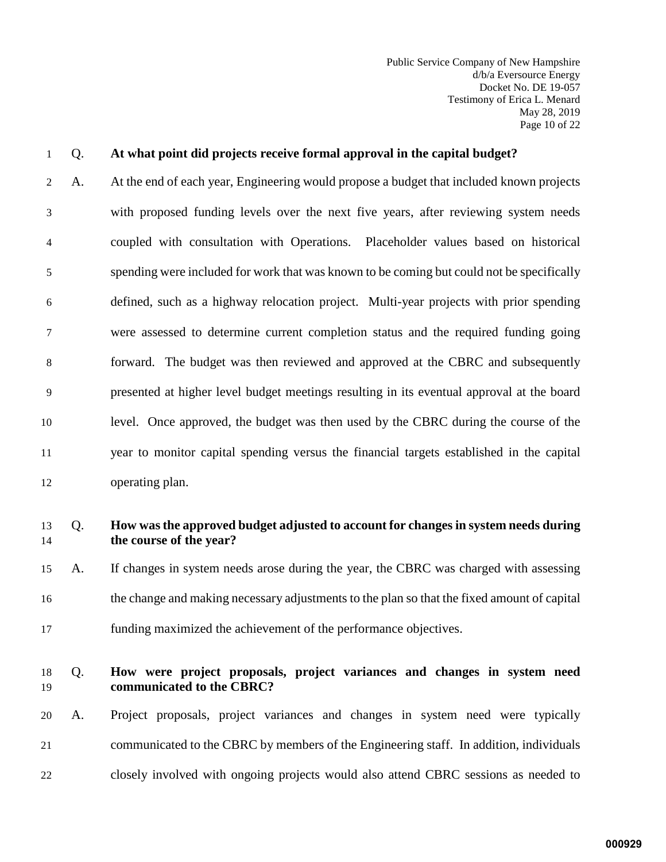Public Service Company of New Hampshire d/b/a Eversource Energy Docket No. DE 19-057 Testimony of Erica L. Menard May 28, 2019 Page 10 of 22

#### 1 Q. **At what point did projects receive formal approval in the capital budget?**

2 A. At the end of each year, Engineering would propose a budget that included known projects 3 with proposed funding levels over the next five years, after reviewing system needs 4 coupled with consultation with Operations. Placeholder values based on historical 5 spending were included for work that was known to be coming but could not be specifically 6 defined, such as a highway relocation project. Multi-year projects with prior spending 7 were assessed to determine current completion status and the required funding going 8 forward. The budget was then reviewed and approved at the CBRC and subsequently 9 presented at higher level budget meetings resulting in its eventual approval at the board 10 level. Once approved, the budget was then used by the CBRC during the course of the 11 year to monitor capital spending versus the financial targets established in the capital 12 operating plan.

#### 13 Q. **How was the approved budget adjusted to account for changes in system needs during**  14 **the course of the year?**

15 A. If changes in system needs arose during the year, the CBRC was charged with assessing 16 the change and making necessary adjustments to the plan so that the fixed amount of capital 17 funding maximized the achievement of the performance objectives.

# 18 Q. **How were project proposals, project variances and changes in system need**  19 **communicated to the CBRC?**

20 A. Project proposals, project variances and changes in system need were typically 21 communicated to the CBRC by members of the Engineering staff. In addition, individuals 22 closely involved with ongoing projects would also attend CBRC sessions as needed to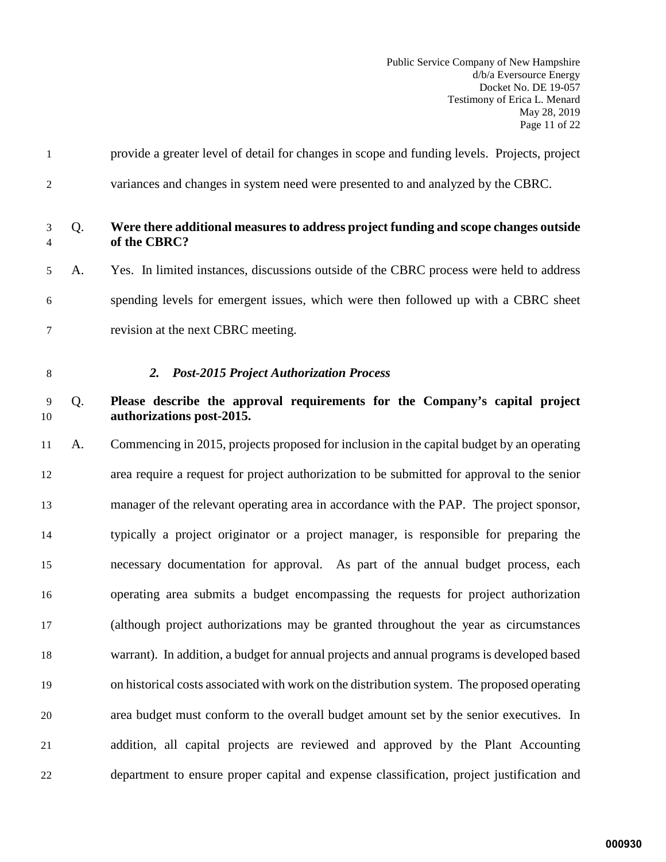Public Service Company of New Hampshire d/b/a Eversource Energy Docket No. DE 19-057 Testimony of Erica L. Menard May 28, 2019 Page 11 of 22

| $\mathbf{1}$   |      | provide a greater level of detail for changes in scope and funding levels. Projects, project        |
|----------------|------|-----------------------------------------------------------------------------------------------------|
| 2              |      | variances and changes in system need were presented to and analyzed by the CBRC.                    |
| $\overline{4}$ | 3 Q. | Were there additional measures to address project funding and scope changes outside<br>of the CBRC? |
| 5 <sup>5</sup> | A.   | Yes. In limited instances, discussions outside of the CBRC process were held to address             |
| 6              |      | spending levels for emergent issues, which were then followed up with a CBRC sheet                  |
|                |      | revision at the next CBRC meeting.                                                                  |

## 8 *2. Post-2015 Project Authorization Process*

## 9 Q. **Please describe the approval requirements for the Company's capital project**  10 **authorizations post-2015.**

 A. Commencing in 2015, projects proposed for inclusion in the capital budget by an operating area require a request for project authorization to be submitted for approval to the senior manager of the relevant operating area in accordance with the PAP. The project sponsor, typically a project originator or a project manager, is responsible for preparing the necessary documentation for approval. As part of the annual budget process, each operating area submits a budget encompassing the requests for project authorization (although project authorizations may be granted throughout the year as circumstances warrant). In addition, a budget for annual projects and annual programs is developed based on historical costs associated with work on the distribution system. The proposed operating area budget must conform to the overall budget amount set by the senior executives. In addition, all capital projects are reviewed and approved by the Plant Accounting department to ensure proper capital and expense classification, project justification and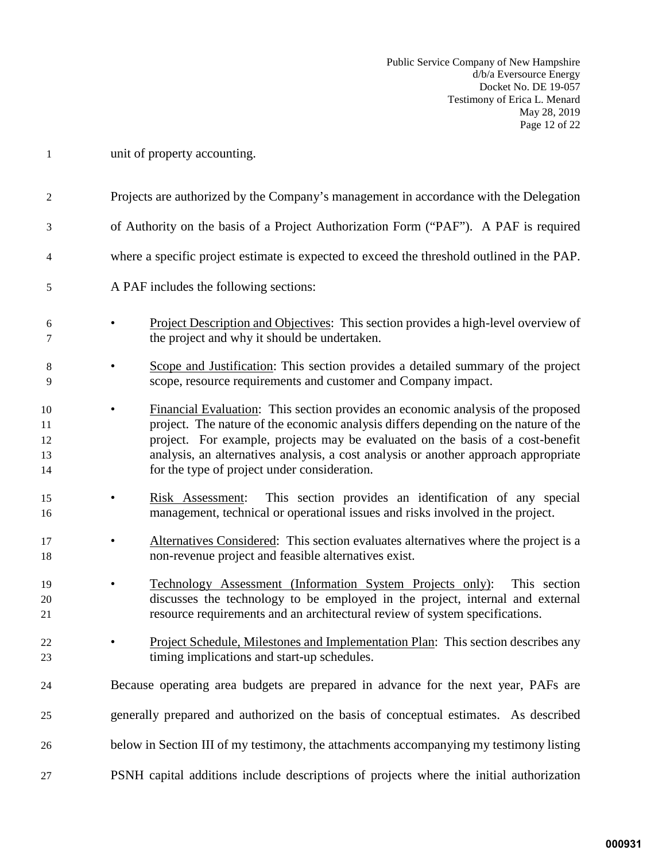Public Service Company of New Hampshire d/b/a Eversource Energy Docket No. DE 19-057 Testimony of Erica L. Menard May 28, 2019 Page 12 of 22

2 Projects are authorized by the Company's management in accordance with the Delegation 3 of Authority on the basis of a Project Authorization Form ("PAF"). A PAF is required 4 where a specific project estimate is expected to exceed the threshold outlined in the PAP. 5 A PAF includes the following sections: 6 • Project Description and Objectives: This section provides a high-level overview of 7 the project and why it should be undertaken. 8 • Scope and Justification: This section provides a detailed summary of the project 9 scope, resource requirements and customer and Company impact. • Financial Evaluation: This section provides an economic analysis of the proposed project. The nature of the economic analysis differs depending on the nature of the project. For example, projects may be evaluated on the basis of a cost-benefit analysis, an alternatives analysis, a cost analysis or another approach appropriate for the type of project under consideration. • Risk Assessment: This section provides an identification of any special management, technical or operational issues and risks involved in the project. • Alternatives Considered: This section evaluates alternatives where the project is a non-revenue project and feasible alternatives exist. • Technology Assessment (Information System Projects only): This section discusses the technology to be employed in the project, internal and external resource requirements and an architectural review of system specifications. • Project Schedule, Milestones and Implementation Plan: This section describes any timing implications and start-up schedules. Because operating area budgets are prepared in advance for the next year, PAFs are generally prepared and authorized on the basis of conceptual estimates. As described below in Section III of my testimony, the attachments accompanying my testimony listing PSNH capital additions include descriptions of projects where the initial authorization

1 unit of property accounting.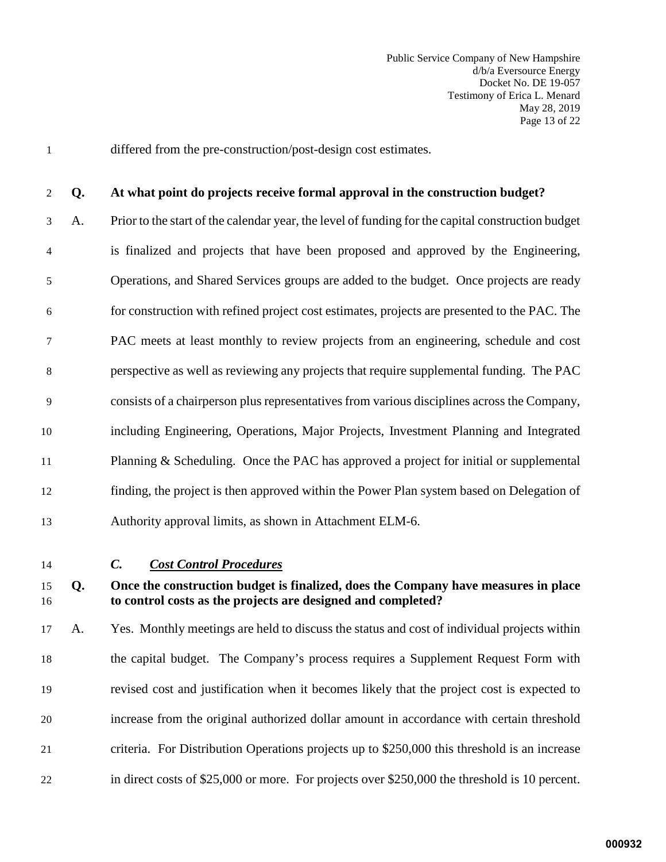1 differed from the pre-construction/post-design cost estimates.

## 2 **Q. At what point do projects receive formal approval in the construction budget?**

3 A. Prior to the start of the calendar year, the level of funding for the capital construction budget 4 is finalized and projects that have been proposed and approved by the Engineering, 5 Operations, and Shared Services groups are added to the budget. Once projects are ready 6 for construction with refined project cost estimates, projects are presented to the PAC. The 7 PAC meets at least monthly to review projects from an engineering, schedule and cost 8 perspective as well as reviewing any projects that require supplemental funding. The PAC 9 consists of a chairperson plus representatives from various disciplines across the Company, 10 including Engineering, Operations, Major Projects, Investment Planning and Integrated 11 Planning & Scheduling. Once the PAC has approved a project for initial or supplemental 12 finding, the project is then approved within the Power Plan system based on Delegation of 13 Authority approval limits, as shown in Attachment ELM-6.

<span id="page-14-0"></span>

## 14 *C. Cost Control Procedures*

## 15 **Q. Once the construction budget is finalized, does the Company have measures in place**  16 **to control costs as the projects are designed and completed?**

 A. Yes. Monthly meetings are held to discuss the status and cost of individual projects within the capital budget. The Company's process requires a Supplement Request Form with revised cost and justification when it becomes likely that the project cost is expected to increase from the original authorized dollar amount in accordance with certain threshold criteria. For Distribution Operations projects up to \$250,000 this threshold is an increase in direct costs of \$25,000 or more. For projects over \$250,000 the threshold is 10 percent.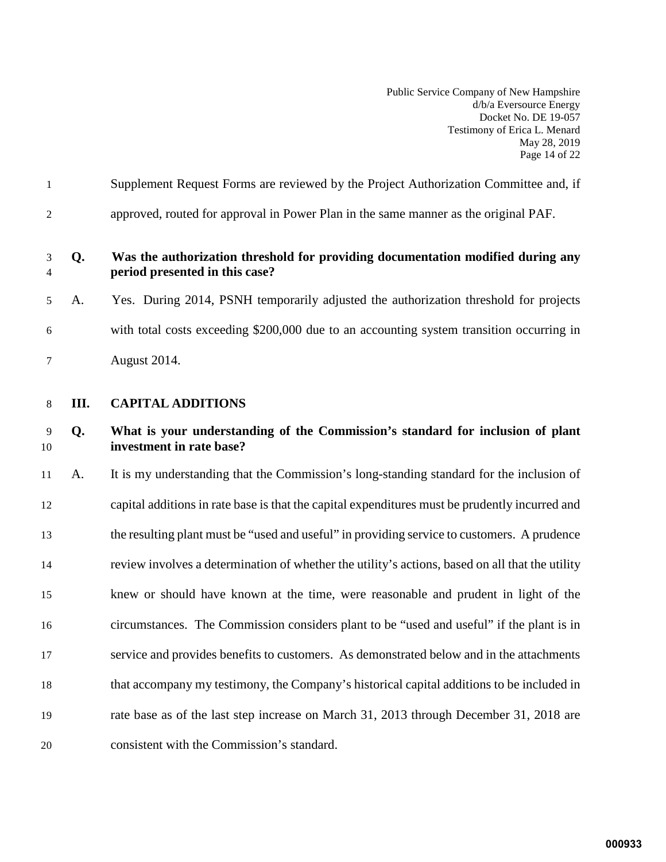Public Service Company of New Hampshire d/b/a Eversource Energy Docket No. DE 19-057 Testimony of Erica L. Menard May 28, 2019 Page 14 of 22

- 1 Supplement Request Forms are reviewed by the Project Authorization Committee and, if
- 2 approved, routed for approval in Power Plan in the same manner as the original PAF.

## 3 **Q. Was the authorization threshold for providing documentation modified during any**  4 **period presented in this case?**

5 A. Yes. During 2014, PSNH temporarily adjusted the authorization threshold for projects 6 with total costs exceeding \$200,000 due to an accounting system transition occurring in 7 August 2014.

## <span id="page-15-0"></span>8 **III. CAPITAL ADDITIONS**

## 9 **Q. What is your understanding of the Commission's standard for inclusion of plant**  10 **investment in rate base?**

 A. It is my understanding that the Commission's long-standing standard for the inclusion of capital additions in rate base is that the capital expenditures must be prudently incurred and the resulting plant must be "used and useful" in providing service to customers. A prudence review involves a determination of whether the utility's actions, based on all that the utility knew or should have known at the time, were reasonable and prudent in light of the circumstances. The Commission considers plant to be "used and useful" if the plant is in service and provides benefits to customers. As demonstrated below and in the attachments that accompany my testimony, the Company's historical capital additions to be included in rate base as of the last step increase on March 31, 2013 through December 31, 2018 are consistent with the Commission's standard.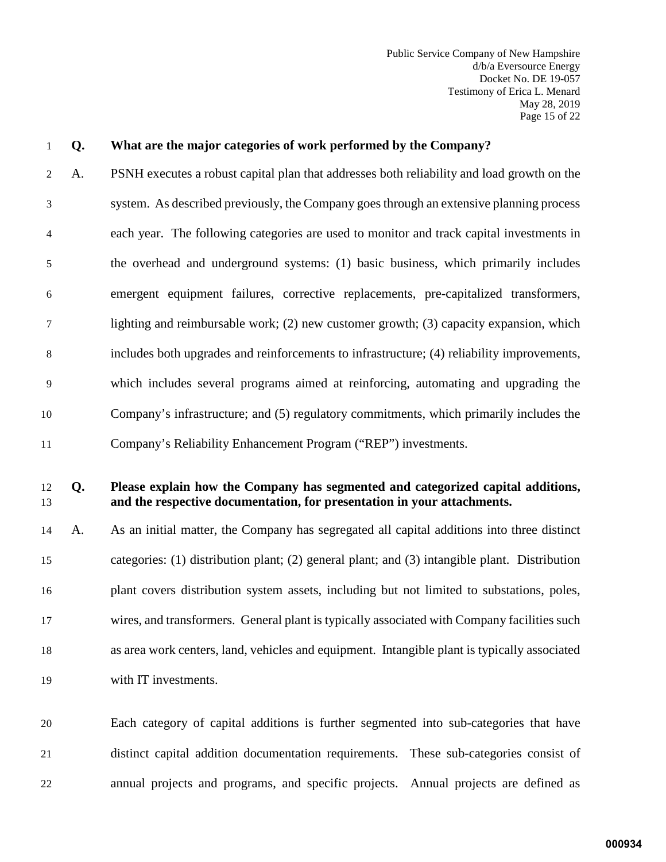Public Service Company of New Hampshire d/b/a Eversource Energy Docket No. DE 19-057 Testimony of Erica L. Menard May 28, 2019 Page 15 of 22

## 1 **Q. What are the major categories of work performed by the Company?**

2 A. PSNH executes a robust capital plan that addresses both reliability and load growth on the 3 system. As described previously, the Company goes through an extensive planning process 4 each year. The following categories are used to monitor and track capital investments in 5 the overhead and underground systems: (1) basic business, which primarily includes 6 emergent equipment failures, corrective replacements, pre-capitalized transformers, 7 lighting and reimbursable work; (2) new customer growth; (3) capacity expansion, which 8 includes both upgrades and reinforcements to infrastructure; (4) reliability improvements, 9 which includes several programs aimed at reinforcing, automating and upgrading the 10 Company's infrastructure; and (5) regulatory commitments, which primarily includes the 11 Company's Reliability Enhancement Program ("REP") investments.

## 12 **Q. Please explain how the Company has segmented and categorized capital additions,**  13 **and the respective documentation, for presentation in your attachments.**

 A. As an initial matter, the Company has segregated all capital additions into three distinct categories: (1) distribution plant; (2) general plant; and (3) intangible plant. Distribution plant covers distribution system assets, including but not limited to substations, poles, wires, and transformers. General plant is typically associated with Company facilities such as area work centers, land, vehicles and equipment. Intangible plant is typically associated with IT investments.

20 Each category of capital additions is further segmented into sub-categories that have 21 distinct capital addition documentation requirements. These sub-categories consist of 22 annual projects and programs, and specific projects. Annual projects are defined as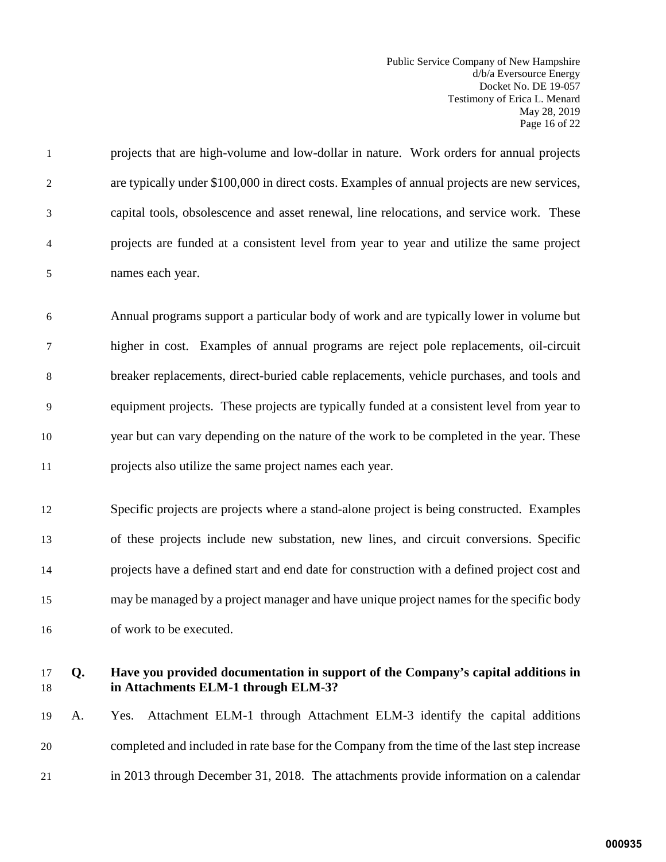Public Service Company of New Hampshire d/b/a Eversource Energy Docket No. DE 19-057 Testimony of Erica L. Menard May 28, 2019 Page 16 of 22

1 projects that are high-volume and low-dollar in nature. Work orders for annual projects 2 are typically under \$100,000 in direct costs. Examples of annual projects are new services, 3 capital tools, obsolescence and asset renewal, line relocations, and service work. These 4 projects are funded at a consistent level from year to year and utilize the same project 5 names each year.

6 Annual programs support a particular body of work and are typically lower in volume but 7 higher in cost. Examples of annual programs are reject pole replacements, oil-circuit 8 breaker replacements, direct-buried cable replacements, vehicle purchases, and tools and 9 equipment projects. These projects are typically funded at a consistent level from year to 10 year but can vary depending on the nature of the work to be completed in the year. These 11 projects also utilize the same project names each year.

 Specific projects are projects where a stand-alone project is being constructed. Examples of these projects include new substation, new lines, and circuit conversions. Specific projects have a defined start and end date for construction with a defined project cost and may be managed by a project manager and have unique project names for the specific body of work to be executed.

## 17 **Q. Have you provided documentation in support of the Company's capital additions in**  18 **in Attachments ELM-1 through ELM-3?**

19 A. Yes. Attachment ELM-1 through Attachment ELM-3 identify the capital additions 20 completed and included in rate base for the Company from the time of the last step increase 21 in 2013 through December 31, 2018. The attachments provide information on a calendar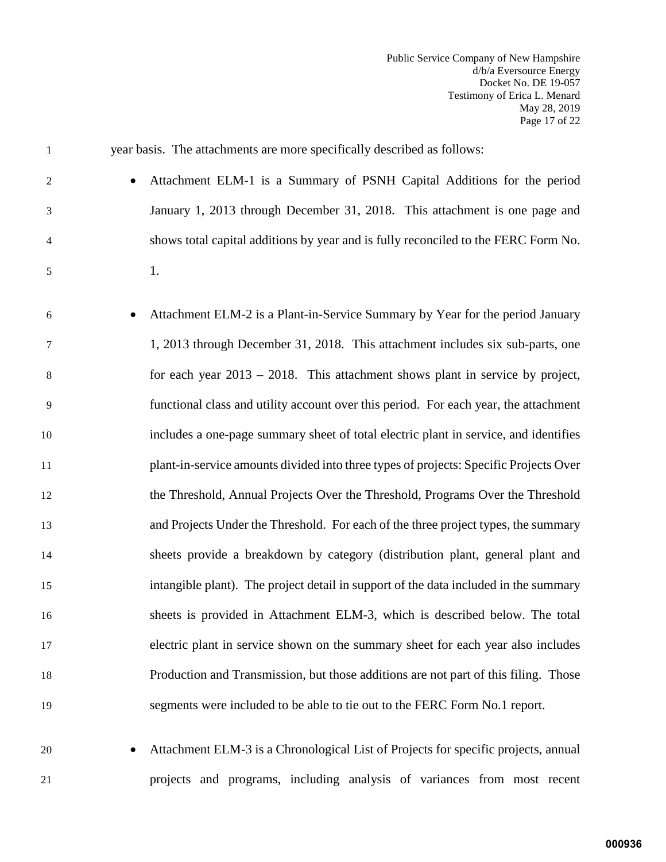| 1              | year basis. The attachments are more specifically described as follows:                    |
|----------------|--------------------------------------------------------------------------------------------|
| 2              | Attachment ELM-1 is a Summary of PSNH Capital Additions for the period<br>$\bullet$        |
| 3              | January 1, 2013 through December 31, 2018. This attachment is one page and                 |
| $\overline{4}$ | shows total capital additions by year and is fully reconciled to the FERC Form No.         |
| 5              | 1.                                                                                         |
| 6              | Attachment ELM-2 is a Plant-in-Service Summary by Year for the period January<br>$\bullet$ |
| 7              | 1, 2013 through December 31, 2018. This attachment includes six sub-parts, one             |
| 8              | for each year $2013 - 2018$ . This attachment shows plant in service by project,           |
| 9              | functional class and utility account over this period. For each year, the attachment       |
| 10             | includes a one-page summary sheet of total electric plant in service, and identifies       |
| 11             | plant-in-service amounts divided into three types of projects: Specific Projects Over      |
| 12             | the Threshold, Annual Projects Over the Threshold, Programs Over the Threshold             |
| 13             | and Projects Under the Threshold. For each of the three project types, the summary         |
| 14             | sheets provide a breakdown by category (distribution plant, general plant and              |
| 15             | intangible plant). The project detail in support of the data included in the summary       |
| 16             | sheets is provided in Attachment ELM-3, which is described below. The total                |
| 17             | electric plant in service shown on the summary sheet for each year also includes           |
| 18             | Production and Transmission, but those additions are not part of this filing. Those        |
| 19             | segments were included to be able to tie out to the FERC Form No.1 report.                 |

- 
- 20 Attachment ELM-3 is a Chronological List of Projects for specific projects, annual 21 projects and programs, including analysis of variances from most recent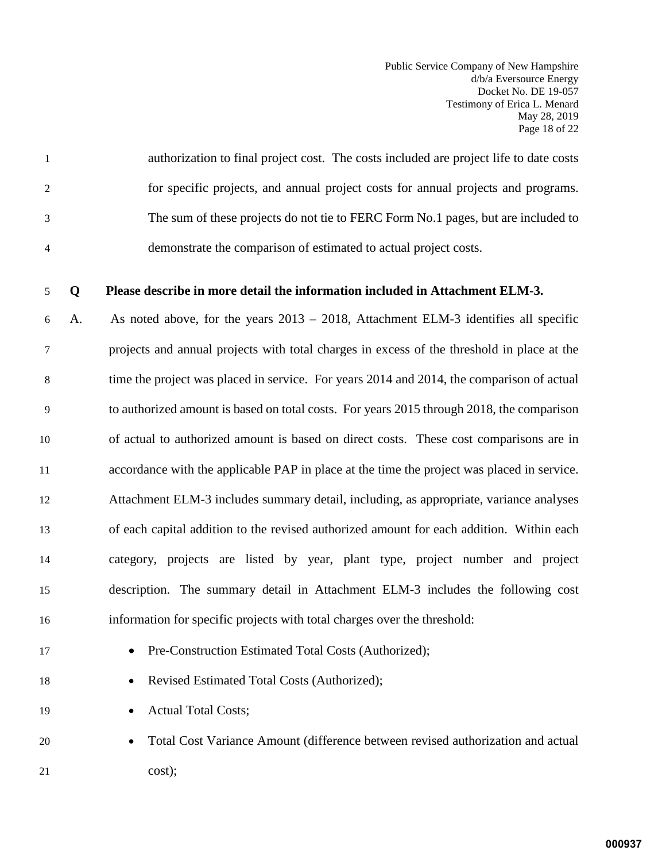Public Service Company of New Hampshire d/b/a Eversource Energy Docket No. DE 19-057 Testimony of Erica L. Menard May 28, 2019 Page 18 of 22

1 authorization to final project cost. The costs included are project life to date costs 2 for specific projects, and annual project costs for annual projects and programs. 3 The sum of these projects do not tie to FERC Form No.1 pages, but are included to 4 demonstrate the comparison of estimated to actual project costs.

#### 5 **Q Please describe in more detail the information included in Attachment ELM-3.**

6 A. As noted above, for the years 2013 – 2018, Attachment ELM-3 identifies all specific 7 projects and annual projects with total charges in excess of the threshold in place at the 8 time the project was placed in service. For years 2014 and 2014, the comparison of actual 9 to authorized amount is based on total costs. For years 2015 through 2018, the comparison of actual to authorized amount is based on direct costs. These cost comparisons are in accordance with the applicable PAP in place at the time the project was placed in service. Attachment ELM-3 includes summary detail, including, as appropriate, variance analyses of each capital addition to the revised authorized amount for each addition. Within each category, projects are listed by year, plant type, project number and project description. The summary detail in Attachment ELM-3 includes the following cost information for specific projects with total charges over the threshold:

- 
- 17 Pre-Construction Estimated Total Costs (Authorized);
- 
- 18 Revised Estimated Total Costs (Authorized);
- 19 Actual Total Costs;
- 20 Total Cost Variance Amount (difference between revised authorization and actual 21 cost);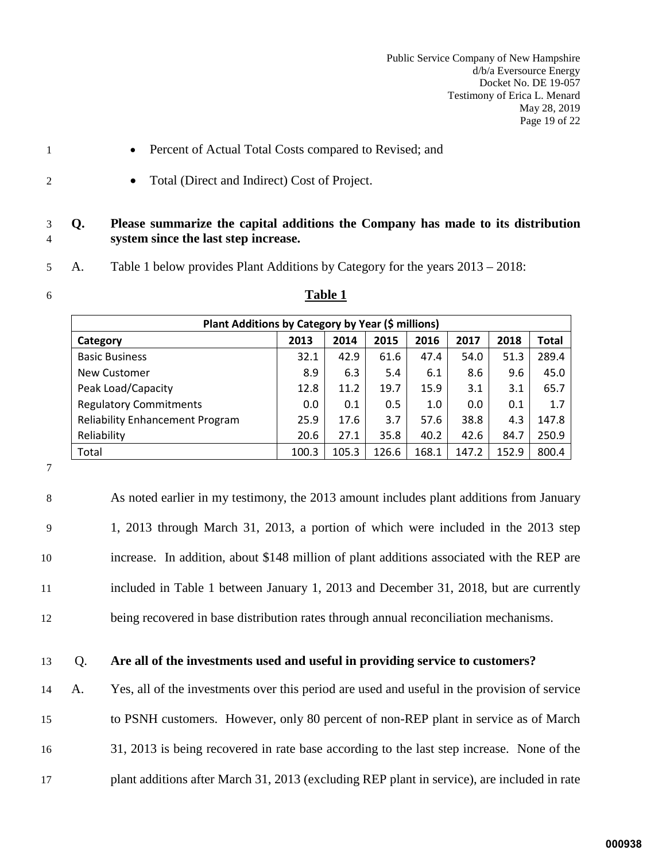Public Service Company of New Hampshire d/b/a Eversource Energy Docket No. DE 19-057 Testimony of Erica L. Menard May 28, 2019 Page 19 of 22

- 
- 1 Percent of Actual Total Costs compared to Revised; and
- 2 Total (Direct and Indirect) Cost of Project.

## 3 **Q. Please summarize the capital additions the Company has made to its distribution**  4 **system since the last step increase.**

<sup>6</sup> **Table 1**

| Plant Additions by Category by Year (\$ millions) |       |       |       |       |       |       |       |
|---------------------------------------------------|-------|-------|-------|-------|-------|-------|-------|
| Category                                          | 2013  | 2014  | 2015  | 2016  | 2017  | 2018  | Total |
| <b>Basic Business</b>                             | 32.1  | 42.9  | 61.6  | 47.4  | 54.0  | 51.3  | 289.4 |
| New Customer                                      | 8.9   | 6.3   | 5.4   | 6.1   | 8.6   | 9.6   | 45.0  |
| Peak Load/Capacity                                | 12.8  | 11.2  | 19.7  | 15.9  | 3.1   | 3.1   | 65.7  |
| <b>Regulatory Commitments</b>                     | 0.0   | 0.1   | 0.5   | 1.0   | 0.0   | 0.1   | 1.7   |
| <b>Reliability Enhancement Program</b>            | 25.9  | 17.6  | 3.7   | 57.6  | 38.8  | 4.3   | 147.8 |
| Reliability                                       | 20.6  | 27.1  | 35.8  | 40.2  | 42.6  | 84.7  | 250.9 |
| Total                                             | 100.3 | 105.3 | 126.6 | 168.1 | 147.2 | 152.9 | 800.4 |

7

8 As noted earlier in my testimony, the 2013 amount includes plant additions from January 9 1, 2013 through March 31, 2013, a portion of which were included in the 2013 step 10 increase. In addition, about \$148 million of plant additions associated with the REP are 11 included in Table 1 between January 1, 2013 and December 31, 2018, but are currently 12 being recovered in base distribution rates through annual reconciliation mechanisms.

## 13 Q. **Are all of the investments used and useful in providing service to customers?**

 A. Yes, all of the investments over this period are used and useful in the provision of service to PSNH customers. However, only 80 percent of non-REP plant in service as of March 31, 2013 is being recovered in rate base according to the last step increase. None of the plant additions after March 31, 2013 (excluding REP plant in service), are included in rate

<sup>5</sup> A. Table 1 below provides Plant Additions by Category for the years 2013 – 2018: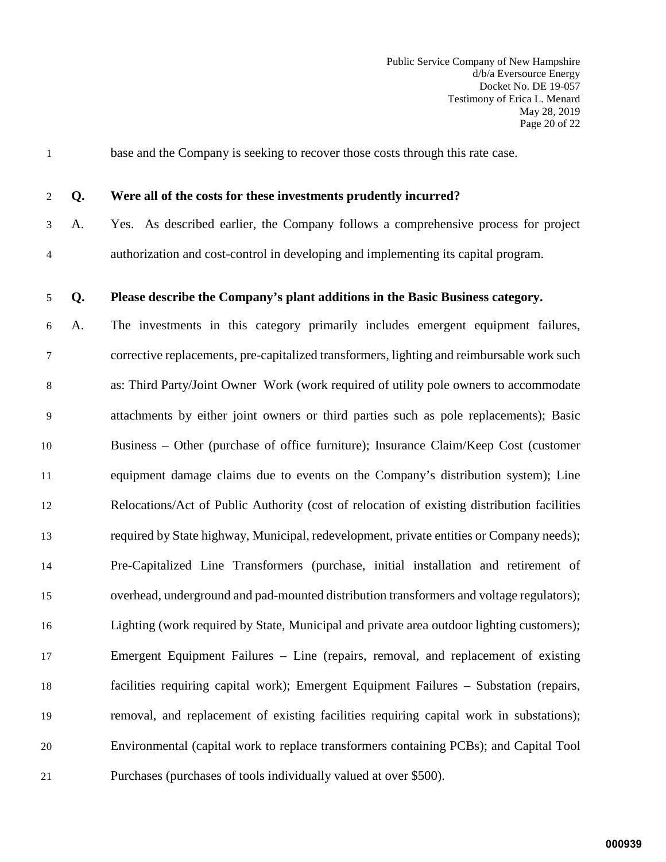1 base and the Company is seeking to recover those costs through this rate case. 2 **Q. Were all of the costs for these investments prudently incurred?** 3 A. Yes. As described earlier, the Company follows a comprehensive process for project

4 authorization and cost-control in developing and implementing its capital program.

# 5 **Q. Please describe the Company's plant additions in the Basic Business category.**

6 A. The investments in this category primarily includes emergent equipment failures, 7 corrective replacements, pre-capitalized transformers, lighting and reimbursable work such 8 as: Third Party/Joint Owner Work (work required of utility pole owners to accommodate 9 attachments by either joint owners or third parties such as pole replacements); Basic Business – Other (purchase of office furniture); Insurance Claim/Keep Cost (customer equipment damage claims due to events on the Company's distribution system); Line Relocations/Act of Public Authority (cost of relocation of existing distribution facilities required by State highway, Municipal, redevelopment, private entities or Company needs); Pre-Capitalized Line Transformers (purchase, initial installation and retirement of overhead, underground and pad-mounted distribution transformers and voltage regulators); Lighting (work required by State, Municipal and private area outdoor lighting customers); Emergent Equipment Failures – Line (repairs, removal, and replacement of existing facilities requiring capital work); Emergent Equipment Failures – Substation (repairs, removal, and replacement of existing facilities requiring capital work in substations); Environmental (capital work to replace transformers containing PCBs); and Capital Tool Purchases (purchases of tools individually valued at over \$500).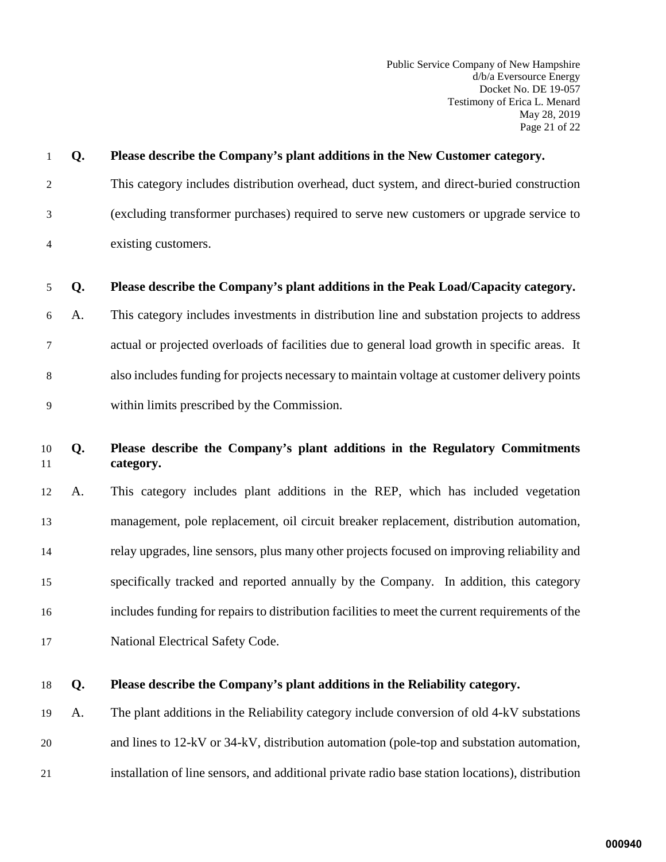Public Service Company of New Hampshire d/b/a Eversource Energy Docket No. DE 19-057 Testimony of Erica L. Menard May 28, 2019 Page 21 of 22

|                | Q. | Please describe the Company's plant additions in the New Customer category.               |
|----------------|----|-------------------------------------------------------------------------------------------|
| 2              |    | This category includes distribution overhead, duct system, and direct-buried construction |
| 3              |    | (excluding transformer purchases) required to serve new customers or upgrade service to   |
| $\overline{4}$ |    | existing customers.                                                                       |
|                | O. | Please describe the Company's plant additions in the Peak Load/Capacity category.         |

6 A. This category includes investments in distribution line and substation projects to address 7 actual or projected overloads of facilities due to general load growth in specific areas. It 8 also includes funding for projects necessary to maintain voltage at customer delivery points 9 within limits prescribed by the Commission.

# 10 **Q. Please describe the Company's plant additions in the Regulatory Commitments**  11 **category.**

 A. This category includes plant additions in the REP, which has included vegetation management, pole replacement, oil circuit breaker replacement, distribution automation, relay upgrades, line sensors, plus many other projects focused on improving reliability and specifically tracked and reported annually by the Company. In addition, this category includes funding for repairs to distribution facilities to meet the current requirements of the National Electrical Safety Code.

# 18 **Q. Please describe the Company's plant additions in the Reliability category.**

19 A. The plant additions in the Reliability category include conversion of old 4-kV substations

20 and lines to 12-kV or 34-kV, distribution automation (pole-top and substation automation,

21 installation of line sensors, and additional private radio base station locations), distribution